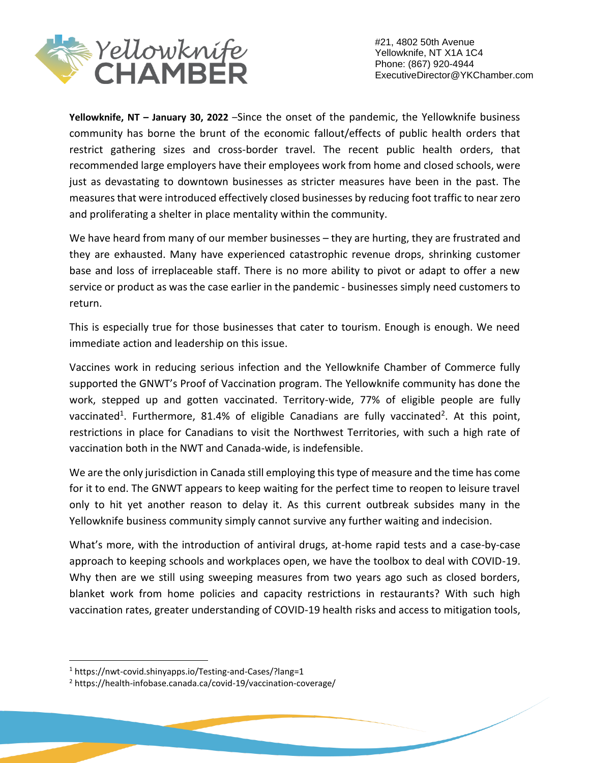

#21, 4802 50th Avenue Yellowknife, NT X1A 1C4 Phone: (867) 920-4944 ExecutiveDirector@YKChamber.com

**Yellowknife, NT – January 30, 2022** –Since the onset of the pandemic, the Yellowknife business community has borne the brunt of the economic fallout/effects of public health orders that restrict gathering sizes and cross-border travel. The recent public health orders, that recommended large employers have their employees work from home and closed schools, were just as devastating to downtown businesses as stricter measures have been in the past. The measuresthat were introduced effectively closed businesses by reducing foot traffic to near zero and proliferating a shelter in place mentality within the community.

We have heard from many of our member businesses – they are hurting, they are frustrated and they are exhausted. Many have experienced catastrophic revenue drops, shrinking customer base and loss of irreplaceable staff. There is no more ability to pivot or adapt to offer a new service or product as was the case earlier in the pandemic - businesses simply need customers to return.

This is especially true for those businesses that cater to tourism. Enough is enough. We need immediate action and leadership on this issue.

Vaccines work in reducing serious infection and the Yellowknife Chamber of Commerce fully supported the GNWT's Proof of Vaccination program. The Yellowknife community has done the work, stepped up and gotten vaccinated. Territory-wide, 77% of eligible people are fully vaccinated<sup>1</sup>. Furthermore, 81.4% of eligible Canadians are fully vaccinated<sup>2</sup>. At this point, restrictions in place for Canadians to visit the Northwest Territories, with such a high rate of vaccination both in the NWT and Canada-wide, is indefensible.

We are the only jurisdiction in Canada still employing this type of measure and the time has come for it to end. The GNWT appears to keep waiting for the perfect time to reopen to leisure travel only to hit yet another reason to delay it. As this current outbreak subsides many in the Yellowknife business community simply cannot survive any further waiting and indecision.

What's more, with the introduction of antiviral drugs, at-home rapid tests and a case-by-case approach to keeping schools and workplaces open, we have the toolbox to deal with COVID-19. Why then are we still using sweeping measures from two years ago such as closed borders, blanket work from home policies and capacity restrictions in restaurants? With such high vaccination rates, greater understanding of COVID-19 health risks and access to mitigation tools,

<sup>1</sup> https://nwt-covid.shinyapps.io/Testing-and-Cases/?lang=1

<sup>2</sup> https://health-infobase.canada.ca/covid-19/vaccination-coverage/